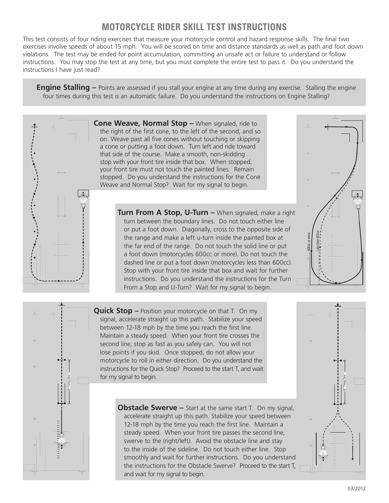## **motorcycle rider skill test instructions**

This test consists of four riding exercises that measure your motorcycle control and hazard response skills. The final two exercises involve speeds of about 15 mph. You will be scored on time and distance standards as well as path and foot down violations. The test may be ended for point accumulation, committing an unsafe act or failure to understand or follow instructions. You may stop the test at any time, but you must complete the entire test to pass it. Do you understand the instructions I have just read?

**Engine Stalling –** Points are assessed if you stall your engine at any time during any exercise. Stalling the engine four times during this test is an automatic failure. Do you understand the instructions on Engine Stalling?

> **Cone Weave, Normal Stop –** When signaled, ride to the right of the first cone, to the left of the second, and so on. Weave past all five cones without touching or skipping a cone or putting a foot down. Turn left and ride toward that side of the course. Make a smooth, non-skidding stop with your front tire inside that box. When stopped, your front tire must not touch the painted lines. Remain stopped. Do you understand the instructions for the Cone Weave and Normal Stop? Wait for my signal to begin.

> > **Turn From A Stop, U-Turn –** When signaled, make a right turn between the boundary lines. Do not touch either line or put a foot down. Diagonally, cross to the opposite side of the range and make a left u-turn inside the painted box at the far end of the range. Do not touch the solid line or put a foot down (motorcycles 600cc or more). Do not touch the dashed line or put a foot down (motorcycles less than 600cc). Stop with your front tire inside that box and wait for further instructions. Do you understand the instructions for the Turn From a Stop and U-Turn? Wait for my signal to begin.

Less than 600cc 600cc or more

**Quick Stop –** Position your motorcycle on that T. On my signal, accelerate straight up this path. Stabilize your speed between 12-18 mph by the time you reach the first line. Maintain a steady speed. When your front tire crosses the second line, stop as fast as you safely can. You will not lose points if you skid. Once stopped, do not allow your motorcycle to roll in either direction. Do you understand the instructions for the Quick Stop? Proceed to the start T, and wait for my signal to begin.

20 ' Timing Zone

**Obstacle Swerve –** Start at the same start T. On my signal, accelerate straight up this path. Stabilize your speed between 12-18 mph by the time you reach the first line. Maintain a steady speed. When your front tire passes the second line, swerve to the (right/left). Avoid the obstacle line and stay to the inside of the sideline. Do not touch either line. Stop smoothly and wait for further instructions. Do you understand the instructions for the Obstacle Swerve? Proceed to the start T, and wait for my signal to begin.

20 ' Timing Zone